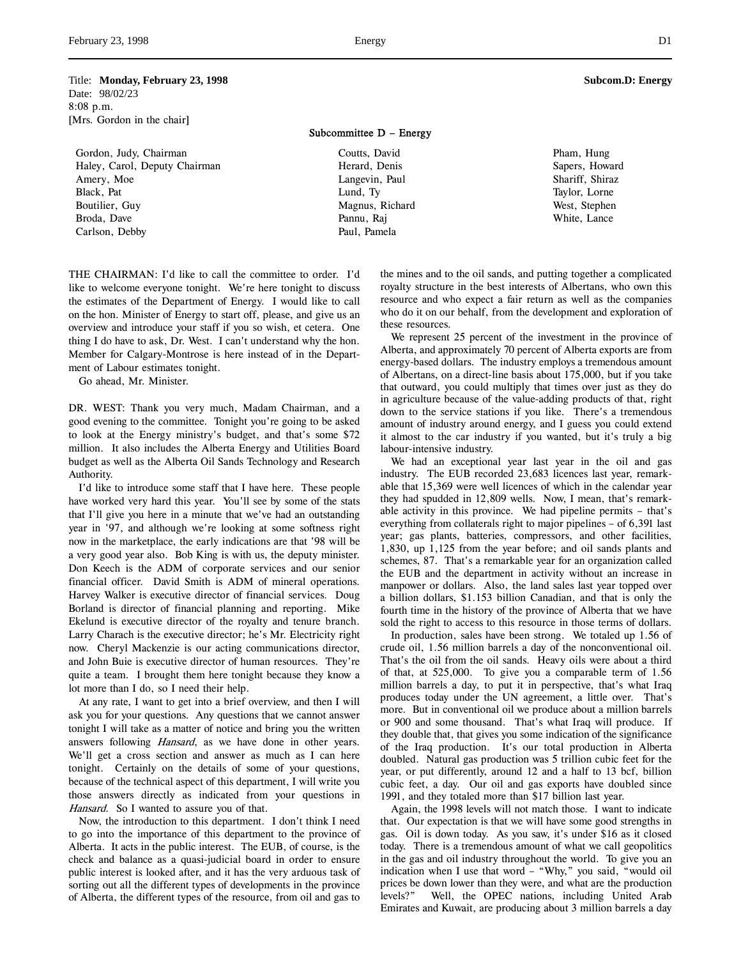Title: **Monday, February 23, 1998 Subcom.D: Energy** Date: 98/02/23 8:08 p.m. [Mrs. Gordon in the chair]

Gordon, Judy, Chairman Haley, Carol, Deputy Chairman Amery, Moe Black, Pat Boutilier, Guy Broda, Dave Carlson, Debby

Subcommittee D – Energy

Coutts, David Herard, Denis Langevin, Paul Lund, Ty Magnus, Richard Pannu, Raj Paul, Pamela

Pham, Hung Sapers, Howard Shariff, Shiraz Taylor, Lorne West, Stephen White, Lance

THE CHAIRMAN: I'd like to call the committee to order. I'd like to welcome everyone tonight. We're here tonight to discuss the estimates of the Department of Energy. I would like to call on the hon. Minister of Energy to start off, please, and give us an overview and introduce your staff if you so wish, et cetera. One thing I do have to ask, Dr. West. I can't understand why the hon. Member for Calgary-Montrose is here instead of in the Department of Labour estimates tonight.

Go ahead, Mr. Minister.

DR. WEST: Thank you very much, Madam Chairman, and a good evening to the committee. Tonight you're going to be asked to look at the Energy ministry's budget, and that's some \$72 million. It also includes the Alberta Energy and Utilities Board budget as well as the Alberta Oil Sands Technology and Research Authority.

I'd like to introduce some staff that I have here. These people have worked very hard this year. You'll see by some of the stats that I'll give you here in a minute that we've had an outstanding year in '97, and although we're looking at some softness right now in the marketplace, the early indications are that '98 will be a very good year also. Bob King is with us, the deputy minister. Don Keech is the ADM of corporate services and our senior financial officer. David Smith is ADM of mineral operations. Harvey Walker is executive director of financial services. Doug Borland is director of financial planning and reporting. Mike Ekelund is executive director of the royalty and tenure branch. Larry Charach is the executive director; he's Mr. Electricity right now. Cheryl Mackenzie is our acting communications director, and John Buie is executive director of human resources. They're quite a team. I brought them here tonight because they know a lot more than I do, so I need their help.

At any rate, I want to get into a brief overview, and then I will ask you for your questions. Any questions that we cannot answer tonight I will take as a matter of notice and bring you the written answers following *Hansard*, as we have done in other years. We'll get a cross section and answer as much as I can here tonight. Certainly on the details of some of your questions, because of the technical aspect of this department, I will write you those answers directly as indicated from your questions in Hansard. So I wanted to assure you of that.

Now, the introduction to this department. I don't think I need to go into the importance of this department to the province of Alberta. It acts in the public interest. The EUB, of course, is the check and balance as a quasi-judicial board in order to ensure public interest is looked after, and it has the very arduous task of sorting out all the different types of developments in the province of Alberta, the different types of the resource, from oil and gas to

the mines and to the oil sands, and putting together a complicated royalty structure in the best interests of Albertans, who own this resource and who expect a fair return as well as the companies who do it on our behalf, from the development and exploration of these resources.

We represent 25 percent of the investment in the province of Alberta, and approximately 70 percent of Alberta exports are from energy-based dollars. The industry employs a tremendous amount of Albertans, on a direct-line basis about 175,000, but if you take that outward, you could multiply that times over just as they do in agriculture because of the value-adding products of that, right down to the service stations if you like. There's a tremendous amount of industry around energy, and I guess you could extend it almost to the car industry if you wanted, but it's truly a big labour-intensive industry.

We had an exceptional year last year in the oil and gas industry. The EUB recorded 23,683 licences last year, remarkable that 15,369 were well licences of which in the calendar year they had spudded in 12,809 wells. Now, I mean, that's remarkable activity in this province. We had pipeline permits – that's everything from collaterals right to major pipelines – of 6,391 last year; gas plants, batteries, compressors, and other facilities, 1,830, up 1,125 from the year before; and oil sands plants and schemes, 87. That's a remarkable year for an organization called the EUB and the department in activity without an increase in manpower or dollars. Also, the land sales last year topped over a billion dollars, \$1.153 billion Canadian, and that is only the fourth time in the history of the province of Alberta that we have sold the right to access to this resource in those terms of dollars.

In production, sales have been strong. We totaled up 1.56 of crude oil, 1.56 million barrels a day of the nonconventional oil. That's the oil from the oil sands. Heavy oils were about a third of that, at 525,000. To give you a comparable term of 1.56 million barrels a day, to put it in perspective, that's what Iraq produces today under the UN agreement, a little over. That's more. But in conventional oil we produce about a million barrels or 900 and some thousand. That's what Iraq will produce. If they double that, that gives you some indication of the significance of the Iraq production. It's our total production in Alberta doubled. Natural gas production was 5 trillion cubic feet for the year, or put differently, around 12 and a half to 13 bcf, billion cubic feet, a day. Our oil and gas exports have doubled since 1991, and they totaled more than \$17 billion last year.

Again, the 1998 levels will not match those. I want to indicate that. Our expectation is that we will have some good strengths in gas. Oil is down today. As you saw, it's under \$16 as it closed today. There is a tremendous amount of what we call geopolitics in the gas and oil industry throughout the world. To give you an indication when I use that word – "Why," you said, "would oil prices be down lower than they were, and what are the production levels?" Well, the OPEC nations, including United Arab Emirates and Kuwait, are producing about 3 million barrels a day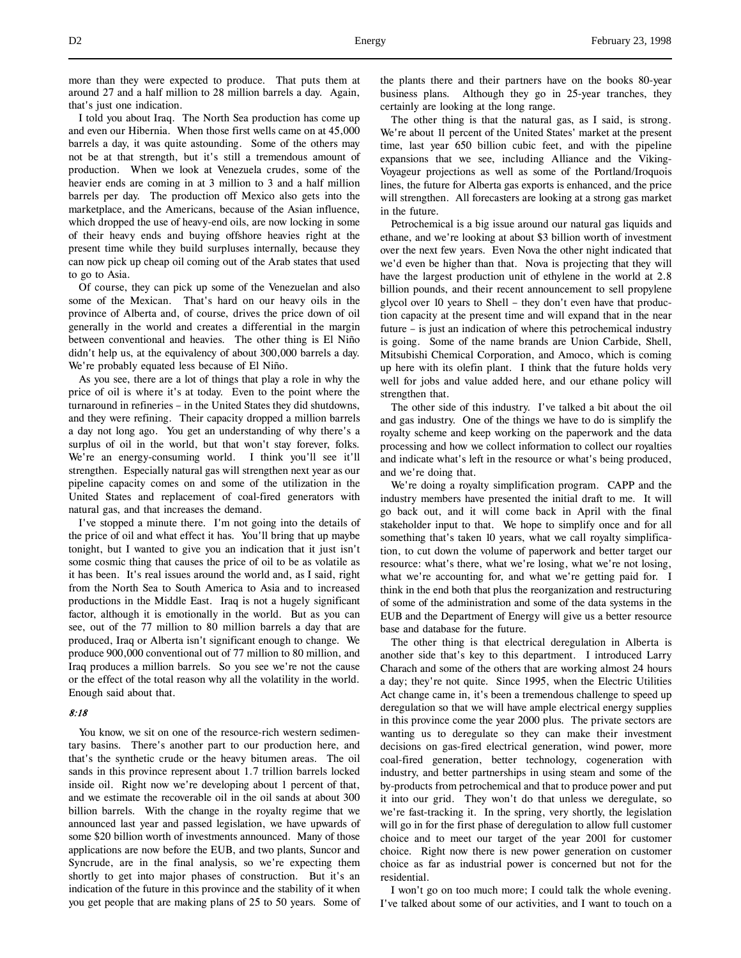more than they were expected to produce. That puts them at around 27 and a half million to 28 million barrels a day. Again, that's just one indication.

I told you about Iraq. The North Sea production has come up and even our Hibernia. When those first wells came on at 45,000 barrels a day, it was quite astounding. Some of the others may not be at that strength, but it's still a tremendous amount of production. When we look at Venezuela crudes, some of the heavier ends are coming in at 3 million to 3 and a half million barrels per day. The production off Mexico also gets into the marketplace, and the Americans, because of the Asian influence, which dropped the use of heavy-end oils, are now locking in some of their heavy ends and buying offshore heavies right at the present time while they build surpluses internally, because they can now pick up cheap oil coming out of the Arab states that used to go to Asia.

Of course, they can pick up some of the Venezuelan and also some of the Mexican. That's hard on our heavy oils in the province of Alberta and, of course, drives the price down of oil generally in the world and creates a differential in the margin between conventional and heavies. The other thing is El Niño didn't help us, at the equivalency of about 300,000 barrels a day. We're probably equated less because of El Niño.

As you see, there are a lot of things that play a role in why the price of oil is where it's at today. Even to the point where the turnaround in refineries – in the United States they did shutdowns, and they were refining. Their capacity dropped a million barrels a day not long ago. You get an understanding of why there's a surplus of oil in the world, but that won't stay forever, folks. We're an energy-consuming world. I think you'll see it'll strengthen. Especially natural gas will strengthen next year as our pipeline capacity comes on and some of the utilization in the United States and replacement of coal-fired generators with natural gas, and that increases the demand.

I've stopped a minute there. I'm not going into the details of the price of oil and what effect it has. You'll bring that up maybe tonight, but I wanted to give you an indication that it just isn't some cosmic thing that causes the price of oil to be as volatile as it has been. It's real issues around the world and, as I said, right from the North Sea to South America to Asia and to increased productions in the Middle East. Iraq is not a hugely significant factor, although it is emotionally in the world. But as you can see, out of the 77 million to 80 million barrels a day that are produced, Iraq or Alberta isn't significant enough to change. We produce 900,000 conventional out of 77 million to 80 million, and Iraq produces a million barrels. So you see we're not the cause or the effect of the total reason why all the volatility in the world. Enough said about that.

# 8:18

You know, we sit on one of the resource-rich western sedimentary basins. There's another part to our production here, and that's the synthetic crude or the heavy bitumen areas. The oil sands in this province represent about 1.7 trillion barrels locked inside oil. Right now we're developing about 1 percent of that, and we estimate the recoverable oil in the oil sands at about 300 billion barrels. With the change in the royalty regime that we announced last year and passed legislation, we have upwards of some \$20 billion worth of investments announced. Many of those applications are now before the EUB, and two plants, Suncor and Syncrude, are in the final analysis, so we're expecting them shortly to get into major phases of construction. But it's an indication of the future in this province and the stability of it when you get people that are making plans of 25 to 50 years. Some of the plants there and their partners have on the books 80-year business plans. Although they go in 25-year tranches, they certainly are looking at the long range.

The other thing is that the natural gas, as I said, is strong. We're about 11 percent of the United States' market at the present time, last year 650 billion cubic feet, and with the pipeline expansions that we see, including Alliance and the Viking-Voyageur projections as well as some of the Portland/Iroquois lines, the future for Alberta gas exports is enhanced, and the price will strengthen. All forecasters are looking at a strong gas market in the future.

Petrochemical is a big issue around our natural gas liquids and ethane, and we're looking at about \$3 billion worth of investment over the next few years. Even Nova the other night indicated that we'd even be higher than that. Nova is projecting that they will have the largest production unit of ethylene in the world at 2.8 billion pounds, and their recent announcement to sell propylene glycol over 10 years to Shell – they don't even have that production capacity at the present time and will expand that in the near future – is just an indication of where this petrochemical industry is going. Some of the name brands are Union Carbide, Shell, Mitsubishi Chemical Corporation, and Amoco, which is coming up here with its olefin plant. I think that the future holds very well for jobs and value added here, and our ethane policy will strengthen that.

The other side of this industry. I've talked a bit about the oil and gas industry. One of the things we have to do is simplify the royalty scheme and keep working on the paperwork and the data processing and how we collect information to collect our royalties and indicate what's left in the resource or what's being produced, and we're doing that.

We're doing a royalty simplification program. CAPP and the industry members have presented the initial draft to me. It will go back out, and it will come back in April with the final stakeholder input to that. We hope to simplify once and for all something that's taken 10 years, what we call royalty simplification, to cut down the volume of paperwork and better target our resource: what's there, what we're losing, what we're not losing, what we're accounting for, and what we're getting paid for. I think in the end both that plus the reorganization and restructuring of some of the administration and some of the data systems in the EUB and the Department of Energy will give us a better resource base and database for the future.

The other thing is that electrical deregulation in Alberta is another side that's key to this department. I introduced Larry Charach and some of the others that are working almost 24 hours a day; they're not quite. Since 1995, when the Electric Utilities Act change came in, it's been a tremendous challenge to speed up deregulation so that we will have ample electrical energy supplies in this province come the year 2000 plus. The private sectors are wanting us to deregulate so they can make their investment decisions on gas-fired electrical generation, wind power, more coal-fired generation, better technology, cogeneration with industry, and better partnerships in using steam and some of the by-products from petrochemical and that to produce power and put it into our grid. They won't do that unless we deregulate, so we're fast-tracking it. In the spring, very shortly, the legislation will go in for the first phase of deregulation to allow full customer choice and to meet our target of the year 2001 for customer choice. Right now there is new power generation on customer choice as far as industrial power is concerned but not for the residential.

I won't go on too much more; I could talk the whole evening. I've talked about some of our activities, and I want to touch on a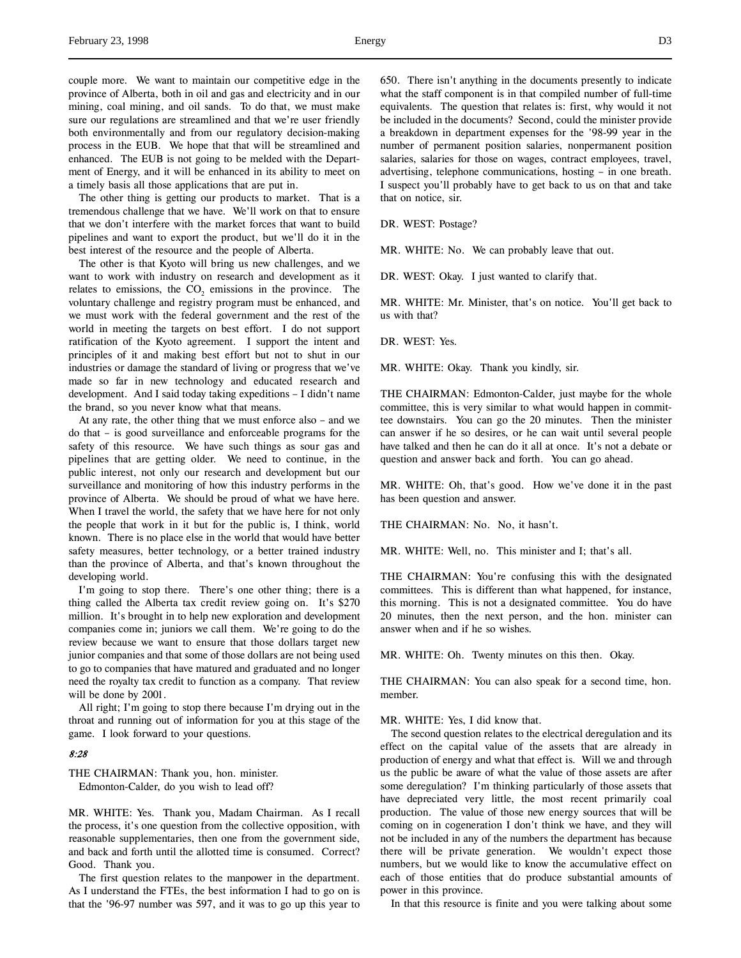couple more. We want to maintain our competitive edge in the province of Alberta, both in oil and gas and electricity and in our mining, coal mining, and oil sands. To do that, we must make sure our regulations are streamlined and that we're user friendly both environmentally and from our regulatory decision-making process in the EUB. We hope that that will be streamlined and enhanced. The EUB is not going to be melded with the Department of Energy, and it will be enhanced in its ability to meet on a timely basis all those applications that are put in.

The other thing is getting our products to market. That is a tremendous challenge that we have. We'll work on that to ensure that we don't interfere with the market forces that want to build pipelines and want to export the product, but we'll do it in the best interest of the resource and the people of Alberta.

The other is that Kyoto will bring us new challenges, and we want to work with industry on research and development as it relates to emissions, the  $CO<sub>2</sub>$  emissions in the province. The voluntary challenge and registry program must be enhanced, and we must work with the federal government and the rest of the world in meeting the targets on best effort. I do not support ratification of the Kyoto agreement. I support the intent and principles of it and making best effort but not to shut in our industries or damage the standard of living or progress that we've made so far in new technology and educated research and development. And I said today taking expeditions – I didn't name the brand, so you never know what that means.

At any rate, the other thing that we must enforce also – and we do that – is good surveillance and enforceable programs for the safety of this resource. We have such things as sour gas and pipelines that are getting older. We need to continue, in the public interest, not only our research and development but our surveillance and monitoring of how this industry performs in the province of Alberta. We should be proud of what we have here. When I travel the world, the safety that we have here for not only the people that work in it but for the public is, I think, world known. There is no place else in the world that would have better safety measures, better technology, or a better trained industry than the province of Alberta, and that's known throughout the developing world.

I'm going to stop there. There's one other thing; there is a thing called the Alberta tax credit review going on. It's \$270 million. It's brought in to help new exploration and development companies come in; juniors we call them. We're going to do the review because we want to ensure that those dollars target new junior companies and that some of those dollars are not being used to go to companies that have matured and graduated and no longer need the royalty tax credit to function as a company. That review will be done by 2001.

All right; I'm going to stop there because I'm drying out in the throat and running out of information for you at this stage of the game. I look forward to your questions.

#### 8:28

THE CHAIRMAN: Thank you, hon. minister. Edmonton-Calder, do you wish to lead off?

MR. WHITE: Yes. Thank you, Madam Chairman. As I recall the process, it's one question from the collective opposition, with reasonable supplementaries, then one from the government side, and back and forth until the allotted time is consumed. Correct? Good. Thank you.

The first question relates to the manpower in the department. As I understand the FTEs, the best information I had to go on is that the '96-97 number was 597, and it was to go up this year to 650. There isn't anything in the documents presently to indicate what the staff component is in that compiled number of full-time equivalents. The question that relates is: first, why would it not be included in the documents? Second, could the minister provide a breakdown in department expenses for the '98-99 year in the number of permanent position salaries, nonpermanent position salaries, salaries for those on wages, contract employees, travel, advertising, telephone communications, hosting – in one breath. I suspect you'll probably have to get back to us on that and take that on notice, sir.

DR. WEST: Postage?

MR. WHITE: No. We can probably leave that out.

DR. WEST: Okay. I just wanted to clarify that.

MR. WHITE: Mr. Minister, that's on notice. You'll get back to us with that?

DR. WEST: Yes.

MR. WHITE: Okay. Thank you kindly, sir.

THE CHAIRMAN: Edmonton-Calder, just maybe for the whole committee, this is very similar to what would happen in committee downstairs. You can go the 20 minutes. Then the minister can answer if he so desires, or he can wait until several people have talked and then he can do it all at once. It's not a debate or question and answer back and forth. You can go ahead.

MR. WHITE: Oh, that's good. How we've done it in the past has been question and answer.

THE CHAIRMAN: No. No, it hasn't.

MR. WHITE: Well, no. This minister and I; that's all.

THE CHAIRMAN: You're confusing this with the designated committees. This is different than what happened, for instance, this morning. This is not a designated committee. You do have 20 minutes, then the next person, and the hon. minister can answer when and if he so wishes.

MR. WHITE: Oh. Twenty minutes on this then. Okay.

THE CHAIRMAN: You can also speak for a second time, hon. member.

#### MR. WHITE: Yes, I did know that.

The second question relates to the electrical deregulation and its effect on the capital value of the assets that are already in production of energy and what that effect is. Will we and through us the public be aware of what the value of those assets are after some deregulation? I'm thinking particularly of those assets that have depreciated very little, the most recent primarily coal production. The value of those new energy sources that will be coming on in cogeneration I don't think we have, and they will not be included in any of the numbers the department has because there will be private generation. We wouldn't expect those numbers, but we would like to know the accumulative effect on each of those entities that do produce substantial amounts of power in this province.

In that this resource is finite and you were talking about some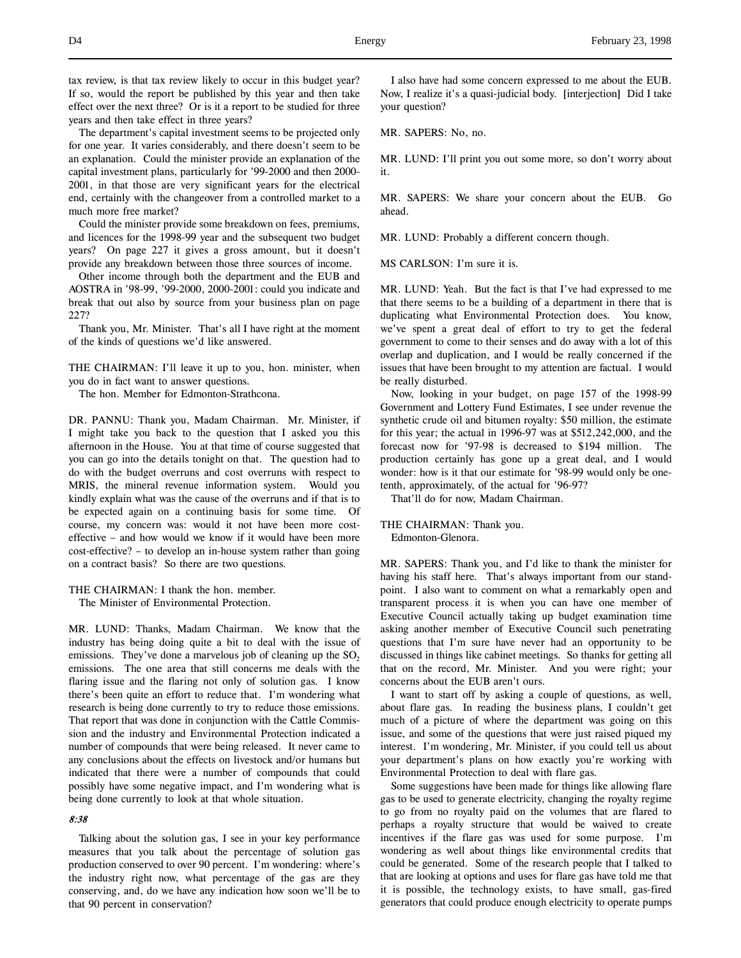tax review, is that tax review likely to occur in this budget year? If so, would the report be published by this year and then take effect over the next three? Or is it a report to be studied for three years and then take effect in three years?

The department's capital investment seems to be projected only for one year. It varies considerably, and there doesn't seem to be an explanation. Could the minister provide an explanation of the capital investment plans, particularly for '99-2000 and then 2000- 2001, in that those are very significant years for the electrical end, certainly with the changeover from a controlled market to a much more free market?

Could the minister provide some breakdown on fees, premiums, and licences for the 1998-99 year and the subsequent two budget years? On page 227 it gives a gross amount, but it doesn't provide any breakdown between those three sources of income.

Other income through both the department and the EUB and AOSTRA in '98-99, '99-2000, 2000-2001: could you indicate and break that out also by source from your business plan on page 227?

Thank you, Mr. Minister. That's all I have right at the moment of the kinds of questions we'd like answered.

THE CHAIRMAN: I'll leave it up to you, hon. minister, when you do in fact want to answer questions.

The hon. Member for Edmonton-Strathcona.

DR. PANNU: Thank you, Madam Chairman. Mr. Minister, if I might take you back to the question that I asked you this afternoon in the House. You at that time of course suggested that you can go into the details tonight on that. The question had to do with the budget overruns and cost overruns with respect to MRIS, the mineral revenue information system. Would you kindly explain what was the cause of the overruns and if that is to be expected again on a continuing basis for some time. Of course, my concern was: would it not have been more costeffective – and how would we know if it would have been more cost-effective? – to develop an in-house system rather than going on a contract basis? So there are two questions.

#### THE CHAIRMAN: I thank the hon. member.

The Minister of Environmental Protection.

MR. LUND: Thanks, Madam Chairman. We know that the industry has being doing quite a bit to deal with the issue of emissions. They've done a marvelous job of cleaning up the  $SO<sub>2</sub>$ emissions. The one area that still concerns me deals with the flaring issue and the flaring not only of solution gas. I know there's been quite an effort to reduce that. I'm wondering what research is being done currently to try to reduce those emissions. That report that was done in conjunction with the Cattle Commission and the industry and Environmental Protection indicated a number of compounds that were being released. It never came to any conclusions about the effects on livestock and/or humans but indicated that there were a number of compounds that could possibly have some negative impact, and I'm wondering what is being done currently to look at that whole situation.

# 8:38

Talking about the solution gas, I see in your key performance measures that you talk about the percentage of solution gas production conserved to over 90 percent. I'm wondering: where's the industry right now, what percentage of the gas are they conserving, and, do we have any indication how soon we'll be to that 90 percent in conservation?

I also have had some concern expressed to me about the EUB. Now, I realize it's a quasi-judicial body. [interjection] Did I take your question?

MR. SAPERS: No, no.

MR. LUND: I'll print you out some more, so don't worry about it.

MR. SAPERS: We share your concern about the EUB. Go ahead.

MR. LUND: Probably a different concern though.

MS CARLSON: I'm sure it is.

MR. LUND: Yeah. But the fact is that I've had expressed to me that there seems to be a building of a department in there that is duplicating what Environmental Protection does. You know, we've spent a great deal of effort to try to get the federal government to come to their senses and do away with a lot of this overlap and duplication, and I would be really concerned if the issues that have been brought to my attention are factual. I would be really disturbed.

Now, looking in your budget, on page 157 of the 1998-99 Government and Lottery Fund Estimates, I see under revenue the synthetic crude oil and bitumen royalty: \$50 million, the estimate for this year; the actual in 1996-97 was at \$512,242,000, and the forecast now for '97-98 is decreased to \$194 million. The production certainly has gone up a great deal, and I would wonder: how is it that our estimate for '98-99 would only be onetenth, approximately, of the actual for '96-97?

That'll do for now, Madam Chairman.

# THE CHAIRMAN: Thank you.

Edmonton-Glenora.

MR. SAPERS: Thank you, and I'd like to thank the minister for having his staff here. That's always important from our standpoint. I also want to comment on what a remarkably open and transparent process it is when you can have one member of Executive Council actually taking up budget examination time asking another member of Executive Council such penetrating questions that I'm sure have never had an opportunity to be discussed in things like cabinet meetings. So thanks for getting all that on the record, Mr. Minister. And you were right; your concerns about the EUB aren't ours.

I want to start off by asking a couple of questions, as well, about flare gas. In reading the business plans, I couldn't get much of a picture of where the department was going on this issue, and some of the questions that were just raised piqued my interest. I'm wondering, Mr. Minister, if you could tell us about your department's plans on how exactly you're working with Environmental Protection to deal with flare gas.

Some suggestions have been made for things like allowing flare gas to be used to generate electricity, changing the royalty regime to go from no royalty paid on the volumes that are flared to perhaps a royalty structure that would be waived to create incentives if the flare gas was used for some purpose. I'm wondering as well about things like environmental credits that could be generated. Some of the research people that I talked to that are looking at options and uses for flare gas have told me that it is possible, the technology exists, to have small, gas-fired generators that could produce enough electricity to operate pumps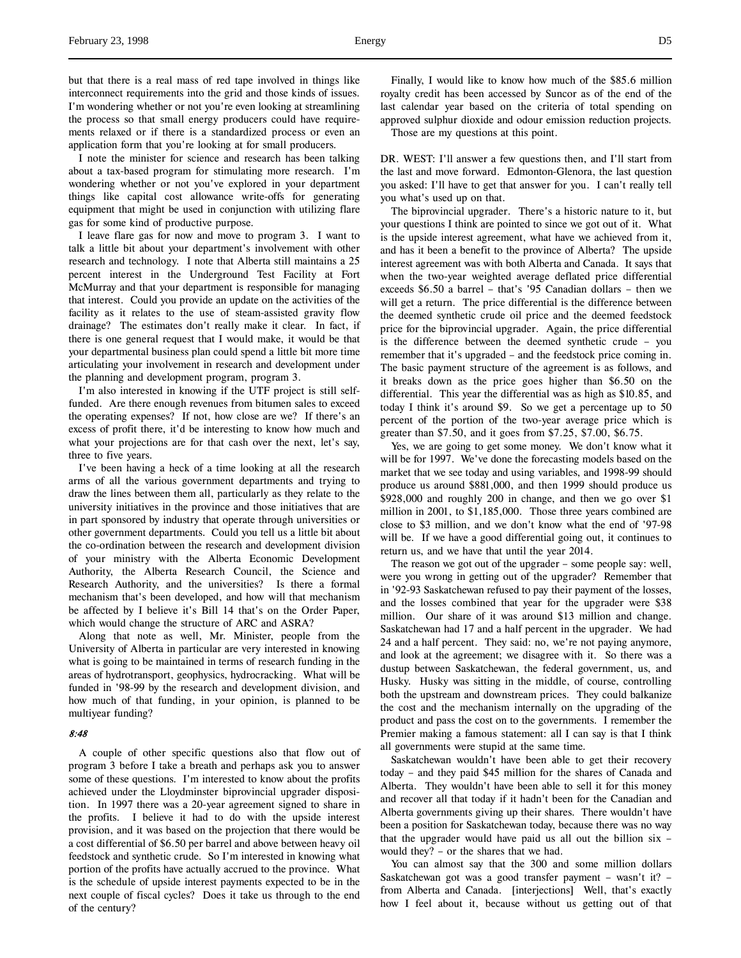but that there is a real mass of red tape involved in things like interconnect requirements into the grid and those kinds of issues. I'm wondering whether or not you're even looking at streamlining the process so that small energy producers could have requirements relaxed or if there is a standardized process or even an application form that you're looking at for small producers.

I note the minister for science and research has been talking about a tax-based program for stimulating more research. I'm wondering whether or not you've explored in your department things like capital cost allowance write-offs for generating equipment that might be used in conjunction with utilizing flare gas for some kind of productive purpose.

I leave flare gas for now and move to program 3. I want to talk a little bit about your department's involvement with other research and technology. I note that Alberta still maintains a 25 percent interest in the Underground Test Facility at Fort McMurray and that your department is responsible for managing that interest. Could you provide an update on the activities of the facility as it relates to the use of steam-assisted gravity flow drainage? The estimates don't really make it clear. In fact, if there is one general request that I would make, it would be that your departmental business plan could spend a little bit more time articulating your involvement in research and development under the planning and development program, program 3.

I'm also interested in knowing if the UTF project is still selffunded. Are there enough revenues from bitumen sales to exceed the operating expenses? If not, how close are we? If there's an excess of profit there, it'd be interesting to know how much and what your projections are for that cash over the next, let's say, three to five years.

I've been having a heck of a time looking at all the research arms of all the various government departments and trying to draw the lines between them all, particularly as they relate to the university initiatives in the province and those initiatives that are in part sponsored by industry that operate through universities or other government departments. Could you tell us a little bit about the co-ordination between the research and development division of your ministry with the Alberta Economic Development Authority, the Alberta Research Council, the Science and Research Authority, and the universities? Is there a formal mechanism that's been developed, and how will that mechanism be affected by I believe it's Bill 14 that's on the Order Paper, which would change the structure of ARC and ASRA?

Along that note as well, Mr. Minister, people from the University of Alberta in particular are very interested in knowing what is going to be maintained in terms of research funding in the areas of hydrotransport, geophysics, hydrocracking. What will be funded in '98-99 by the research and development division, and how much of that funding, in your opinion, is planned to be multiyear funding?

## 8:48

A couple of other specific questions also that flow out of program 3 before I take a breath and perhaps ask you to answer some of these questions. I'm interested to know about the profits achieved under the Lloydminster biprovincial upgrader disposition. In 1997 there was a 20-year agreement signed to share in the profits. I believe it had to do with the upside interest provision, and it was based on the projection that there would be a cost differential of \$6.50 per barrel and above between heavy oil feedstock and synthetic crude. So I'm interested in knowing what portion of the profits have actually accrued to the province. What is the schedule of upside interest payments expected to be in the next couple of fiscal cycles? Does it take us through to the end of the century?

Finally, I would like to know how much of the \$85.6 million royalty credit has been accessed by Suncor as of the end of the last calendar year based on the criteria of total spending on approved sulphur dioxide and odour emission reduction projects.

Those are my questions at this point.

DR. WEST: I'll answer a few questions then, and I'll start from the last and move forward. Edmonton-Glenora, the last question you asked: I'll have to get that answer for you. I can't really tell you what's used up on that.

The biprovincial upgrader. There's a historic nature to it, but your questions I think are pointed to since we got out of it. What is the upside interest agreement, what have we achieved from it, and has it been a benefit to the province of Alberta? The upside interest agreement was with both Alberta and Canada. It says that when the two-year weighted average deflated price differential exceeds \$6.50 a barrel – that's '95 Canadian dollars – then we will get a return. The price differential is the difference between the deemed synthetic crude oil price and the deemed feedstock price for the biprovincial upgrader. Again, the price differential is the difference between the deemed synthetic crude – you remember that it's upgraded – and the feedstock price coming in. The basic payment structure of the agreement is as follows, and it breaks down as the price goes higher than \$6.50 on the differential. This year the differential was as high as \$10.85, and today I think it's around \$9. So we get a percentage up to 50 percent of the portion of the two-year average price which is greater than \$7.50, and it goes from \$7.25, \$7.00, \$6.75.

Yes, we are going to get some money. We don't know what it will be for 1997. We've done the forecasting models based on the market that we see today and using variables, and 1998-99 should produce us around \$881,000, and then 1999 should produce us \$928,000 and roughly 200 in change, and then we go over \$1 million in 2001, to \$1,185,000. Those three years combined are close to \$3 million, and we don't know what the end of '97-98 will be. If we have a good differential going out, it continues to return us, and we have that until the year 2014.

The reason we got out of the upgrader – some people say: well, were you wrong in getting out of the upgrader? Remember that in '92-93 Saskatchewan refused to pay their payment of the losses, and the losses combined that year for the upgrader were \$38 million. Our share of it was around \$13 million and change. Saskatchewan had 17 and a half percent in the upgrader. We had 24 and a half percent. They said: no, we're not paying anymore, and look at the agreement; we disagree with it. So there was a dustup between Saskatchewan, the federal government, us, and Husky. Husky was sitting in the middle, of course, controlling both the upstream and downstream prices. They could balkanize the cost and the mechanism internally on the upgrading of the product and pass the cost on to the governments. I remember the Premier making a famous statement: all I can say is that I think all governments were stupid at the same time.

Saskatchewan wouldn't have been able to get their recovery today – and they paid \$45 million for the shares of Canada and Alberta. They wouldn't have been able to sell it for this money and recover all that today if it hadn't been for the Canadian and Alberta governments giving up their shares. There wouldn't have been a position for Saskatchewan today, because there was no way that the upgrader would have paid us all out the billion six – would they? – or the shares that we had.

You can almost say that the 300 and some million dollars Saskatchewan got was a good transfer payment – wasn't it? – from Alberta and Canada. [interjections] Well, that's exactly how I feel about it, because without us getting out of that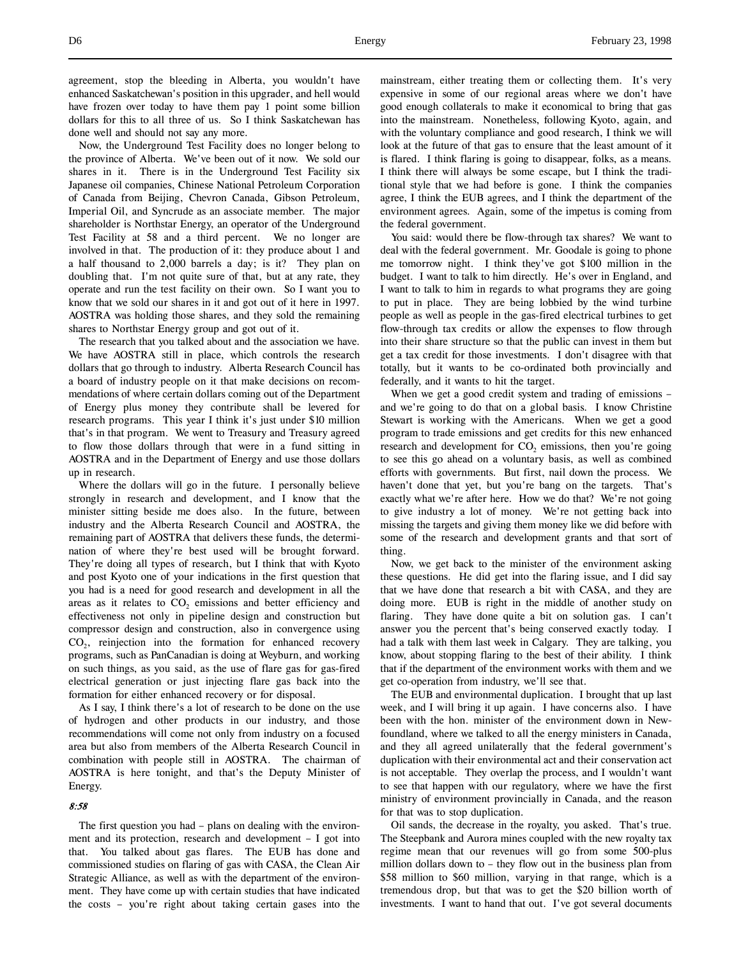agreement, stop the bleeding in Alberta, you wouldn't have enhanced Saskatchewan's position in this upgrader, and hell would have frozen over today to have them pay 1 point some billion dollars for this to all three of us. So I think Saskatchewan has done well and should not say any more.

Now, the Underground Test Facility does no longer belong to the province of Alberta. We've been out of it now. We sold our shares in it. There is in the Underground Test Facility six Japanese oil companies, Chinese National Petroleum Corporation of Canada from Beijing, Chevron Canada, Gibson Petroleum, Imperial Oil, and Syncrude as an associate member. The major shareholder is Northstar Energy, an operator of the Underground Test Facility at 58 and a third percent. We no longer are involved in that. The production of it: they produce about 1 and a half thousand to 2,000 barrels a day; is it? They plan on doubling that. I'm not quite sure of that, but at any rate, they operate and run the test facility on their own. So I want you to know that we sold our shares in it and got out of it here in 1997. AOSTRA was holding those shares, and they sold the remaining shares to Northstar Energy group and got out of it.

The research that you talked about and the association we have. We have AOSTRA still in place, which controls the research dollars that go through to industry. Alberta Research Council has a board of industry people on it that make decisions on recommendations of where certain dollars coming out of the Department of Energy plus money they contribute shall be levered for research programs. This year I think it's just under \$10 million that's in that program. We went to Treasury and Treasury agreed to flow those dollars through that were in a fund sitting in AOSTRA and in the Department of Energy and use those dollars up in research.

Where the dollars will go in the future. I personally believe strongly in research and development, and I know that the minister sitting beside me does also. In the future, between industry and the Alberta Research Council and AOSTRA, the remaining part of AOSTRA that delivers these funds, the determination of where they're best used will be brought forward. They're doing all types of research, but I think that with Kyoto and post Kyoto one of your indications in the first question that you had is a need for good research and development in all the areas as it relates to CO<sub>2</sub> emissions and better efficiency and effectiveness not only in pipeline design and construction but compressor design and construction, also in convergence using CO<sub>2</sub>, reinjection into the formation for enhanced recovery programs, such as PanCanadian is doing at Weyburn, and working on such things, as you said, as the use of flare gas for gas-fired electrical generation or just injecting flare gas back into the formation for either enhanced recovery or for disposal.

As I say, I think there's a lot of research to be done on the use of hydrogen and other products in our industry, and those recommendations will come not only from industry on a focused area but also from members of the Alberta Research Council in combination with people still in AOSTRA. The chairman of AOSTRA is here tonight, and that's the Deputy Minister of Energy.

## 8:58

The first question you had – plans on dealing with the environment and its protection, research and development – I got into You talked about gas flares. The EUB has done and commissioned studies on flaring of gas with CASA, the Clean Air Strategic Alliance, as well as with the department of the environment. They have come up with certain studies that have indicated the costs – you're right about taking certain gases into the

mainstream, either treating them or collecting them. It's very expensive in some of our regional areas where we don't have good enough collaterals to make it economical to bring that gas into the mainstream. Nonetheless, following Kyoto, again, and with the voluntary compliance and good research, I think we will look at the future of that gas to ensure that the least amount of it is flared. I think flaring is going to disappear, folks, as a means. I think there will always be some escape, but I think the traditional style that we had before is gone. I think the companies agree, I think the EUB agrees, and I think the department of the environment agrees. Again, some of the impetus is coming from the federal government.

You said: would there be flow-through tax shares? We want to deal with the federal government. Mr. Goodale is going to phone me tomorrow night. I think they've got \$100 million in the budget. I want to talk to him directly. He's over in England, and I want to talk to him in regards to what programs they are going to put in place. They are being lobbied by the wind turbine people as well as people in the gas-fired electrical turbines to get flow-through tax credits or allow the expenses to flow through into their share structure so that the public can invest in them but get a tax credit for those investments. I don't disagree with that totally, but it wants to be co-ordinated both provincially and federally, and it wants to hit the target.

When we get a good credit system and trading of emissions – and we're going to do that on a global basis. I know Christine Stewart is working with the Americans. When we get a good program to trade emissions and get credits for this new enhanced research and development for  $CO<sub>2</sub>$  emissions, then you're going to see this go ahead on a voluntary basis, as well as combined efforts with governments. But first, nail down the process. We haven't done that yet, but you're bang on the targets. That's exactly what we're after here. How we do that? We're not going to give industry a lot of money. We're not getting back into missing the targets and giving them money like we did before with some of the research and development grants and that sort of thing.

Now, we get back to the minister of the environment asking these questions. He did get into the flaring issue, and I did say that we have done that research a bit with CASA, and they are doing more. EUB is right in the middle of another study on flaring. They have done quite a bit on solution gas. I can't answer you the percent that's being conserved exactly today. I had a talk with them last week in Calgary. They are talking, you know, about stopping flaring to the best of their ability. I think that if the department of the environment works with them and we get co-operation from industry, we'll see that.

The EUB and environmental duplication. I brought that up last week, and I will bring it up again. I have concerns also. I have been with the hon. minister of the environment down in Newfoundland, where we talked to all the energy ministers in Canada, and they all agreed unilaterally that the federal government's duplication with their environmental act and their conservation act is not acceptable. They overlap the process, and I wouldn't want to see that happen with our regulatory, where we have the first ministry of environment provincially in Canada, and the reason for that was to stop duplication.

Oil sands, the decrease in the royalty, you asked. That's true. The Steepbank and Aurora mines coupled with the new royalty tax regime mean that our revenues will go from some 500-plus million dollars down to – they flow out in the business plan from \$58 million to \$60 million, varying in that range, which is a tremendous drop, but that was to get the \$20 billion worth of investments. I want to hand that out. I've got several documents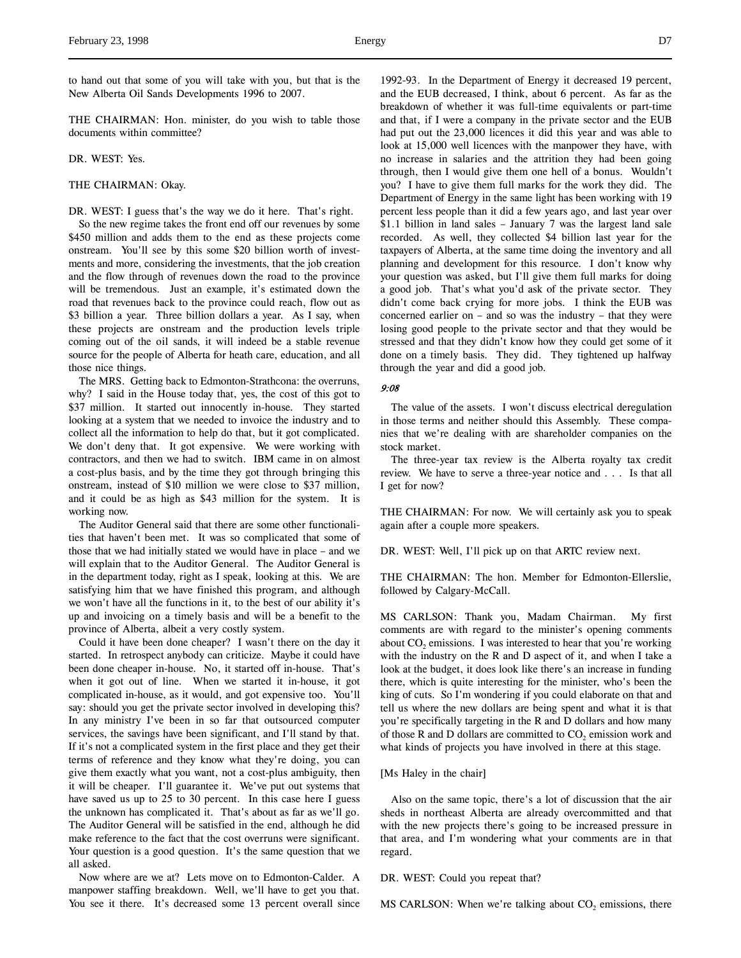to hand out that some of you will take with you, but that is the New Alberta Oil Sands Developments 1996 to 2007.

THE CHAIRMAN: Hon. minister, do you wish to table those documents within committee?

DR. WEST: Yes.

THE CHAIRMAN: Okay.

DR. WEST: I guess that's the way we do it here. That's right.

So the new regime takes the front end off our revenues by some \$450 million and adds them to the end as these projects come onstream. You'll see by this some \$20 billion worth of investments and more, considering the investments, that the job creation and the flow through of revenues down the road to the province will be tremendous. Just an example, it's estimated down the road that revenues back to the province could reach, flow out as \$3 billion a year. Three billion dollars a year. As I say, when these projects are onstream and the production levels triple coming out of the oil sands, it will indeed be a stable revenue source for the people of Alberta for heath care, education, and all those nice things.

The MRS. Getting back to Edmonton-Strathcona: the overruns, why? I said in the House today that, yes, the cost of this got to \$37 million. It started out innocently in-house. They started looking at a system that we needed to invoice the industry and to collect all the information to help do that, but it got complicated. We don't deny that. It got expensive. We were working with contractors, and then we had to switch. IBM came in on almost a cost-plus basis, and by the time they got through bringing this onstream, instead of \$10 million we were close to \$37 million, and it could be as high as \$43 million for the system. It is working now.

The Auditor General said that there are some other functionalities that haven't been met. It was so complicated that some of those that we had initially stated we would have in place – and we will explain that to the Auditor General. The Auditor General is in the department today, right as I speak, looking at this. We are satisfying him that we have finished this program, and although we won't have all the functions in it, to the best of our ability it's up and invoicing on a timely basis and will be a benefit to the province of Alberta, albeit a very costly system.

Could it have been done cheaper? I wasn't there on the day it started. In retrospect anybody can criticize. Maybe it could have been done cheaper in-house. No, it started off in-house. That's when it got out of line. When we started it in-house, it got complicated in-house, as it would, and got expensive too. You'll say: should you get the private sector involved in developing this? In any ministry I've been in so far that outsourced computer services, the savings have been significant, and I'll stand by that. If it's not a complicated system in the first place and they get their terms of reference and they know what they're doing, you can give them exactly what you want, not a cost-plus ambiguity, then it will be cheaper. I'll guarantee it. We've put out systems that have saved us up to 25 to 30 percent. In this case here I guess the unknown has complicated it. That's about as far as we'll go. The Auditor General will be satisfied in the end, although he did make reference to the fact that the cost overruns were significant. Your question is a good question. It's the same question that we all asked.

Now where are we at? Lets move on to Edmonton-Calder. A manpower staffing breakdown. Well, we'll have to get you that. You see it there. It's decreased some 13 percent overall since 1992-93. In the Department of Energy it decreased 19 percent, and the EUB decreased, I think, about 6 percent. As far as the breakdown of whether it was full-time equivalents or part-time and that, if I were a company in the private sector and the EUB had put out the 23,000 licences it did this year and was able to look at 15,000 well licences with the manpower they have, with no increase in salaries and the attrition they had been going through, then I would give them one hell of a bonus. Wouldn't you? I have to give them full marks for the work they did. The Department of Energy in the same light has been working with 19 percent less people than it did a few years ago, and last year over \$1.1 billion in land sales – January 7 was the largest land sale recorded. As well, they collected \$4 billion last year for the taxpayers of Alberta, at the same time doing the inventory and all planning and development for this resource. I don't know why your question was asked, but I'll give them full marks for doing a good job. That's what you'd ask of the private sector. They didn't come back crying for more jobs. I think the EUB was concerned earlier on – and so was the industry – that they were losing good people to the private sector and that they would be stressed and that they didn't know how they could get some of it done on a timely basis. They did. They tightened up halfway through the year and did a good job.

#### 9:08

The value of the assets. I won't discuss electrical deregulation in those terms and neither should this Assembly. These companies that we're dealing with are shareholder companies on the stock market.

The three-year tax review is the Alberta royalty tax credit review. We have to serve a three-year notice and . . . Is that all I get for now?

THE CHAIRMAN: For now. We will certainly ask you to speak again after a couple more speakers.

DR. WEST: Well, I'll pick up on that ARTC review next.

THE CHAIRMAN: The hon. Member for Edmonton-Ellerslie, followed by Calgary-McCall.

MS CARLSON: Thank you, Madam Chairman. My first comments are with regard to the minister's opening comments about  $CO<sub>2</sub>$  emissions. I was interested to hear that you're working with the industry on the R and D aspect of it, and when I take a look at the budget, it does look like there's an increase in funding there, which is quite interesting for the minister, who's been the king of cuts. So I'm wondering if you could elaborate on that and tell us where the new dollars are being spent and what it is that you're specifically targeting in the R and D dollars and how many of those  $R$  and  $D$  dollars are committed to  $CO<sub>2</sub>$  emission work and what kinds of projects you have involved in there at this stage.

### [Ms Haley in the chair]

Also on the same topic, there's a lot of discussion that the air sheds in northeast Alberta are already overcommitted and that with the new projects there's going to be increased pressure in that area, and I'm wondering what your comments are in that regard.

DR. WEST: Could you repeat that?

MS CARLSON: When we're talking about  $CO<sub>2</sub>$  emissions, there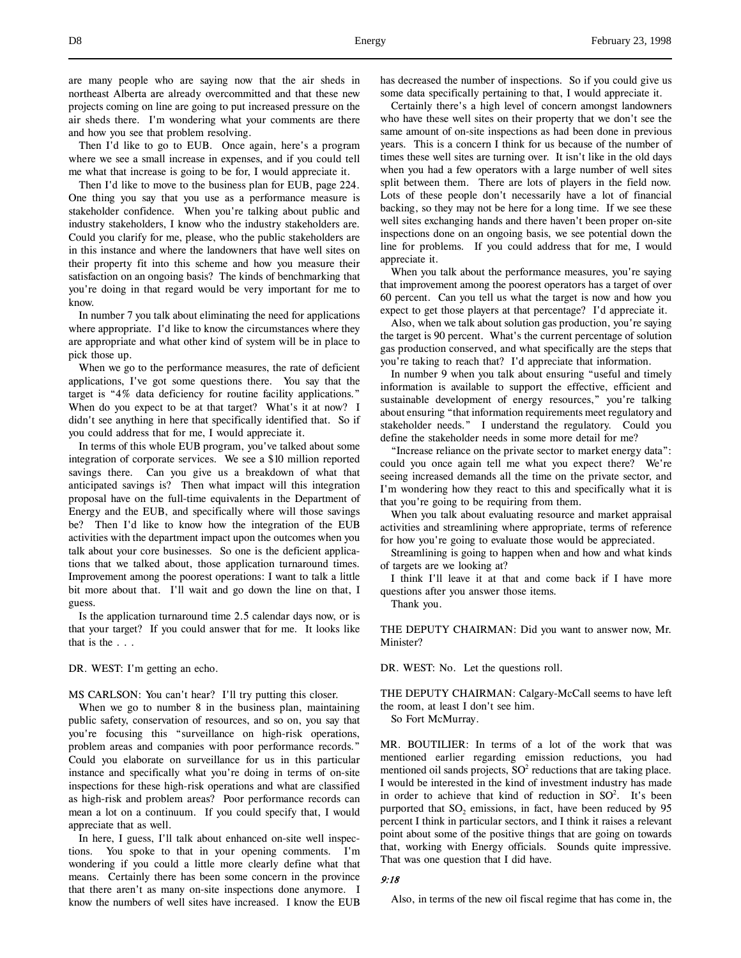are many people who are saying now that the air sheds in northeast Alberta are already overcommitted and that these new projects coming on line are going to put increased pressure on the air sheds there. I'm wondering what your comments are there and how you see that problem resolving.

Then I'd like to go to EUB. Once again, here's a program where we see a small increase in expenses, and if you could tell me what that increase is going to be for, I would appreciate it.

Then I'd like to move to the business plan for EUB, page 224. One thing you say that you use as a performance measure is stakeholder confidence. When you're talking about public and industry stakeholders, I know who the industry stakeholders are. Could you clarify for me, please, who the public stakeholders are in this instance and where the landowners that have well sites on their property fit into this scheme and how you measure their satisfaction on an ongoing basis? The kinds of benchmarking that you're doing in that regard would be very important for me to know.

In number 7 you talk about eliminating the need for applications where appropriate. I'd like to know the circumstances where they are appropriate and what other kind of system will be in place to pick those up.

When we go to the performance measures, the rate of deficient applications, I've got some questions there. You say that the target is "4% data deficiency for routine facility applications." When do you expect to be at that target? What's it at now? I didn't see anything in here that specifically identified that. So if you could address that for me, I would appreciate it.

In terms of this whole EUB program, you've talked about some integration of corporate services. We see a \$10 million reported savings there. Can you give us a breakdown of what that anticipated savings is? Then what impact will this integration proposal have on the full-time equivalents in the Department of Energy and the EUB, and specifically where will those savings be? Then I'd like to know how the integration of the EUB activities with the department impact upon the outcomes when you talk about your core businesses. So one is the deficient applications that we talked about, those application turnaround times. Improvement among the poorest operations: I want to talk a little bit more about that. I'll wait and go down the line on that, I guess.

Is the application turnaround time 2.5 calendar days now, or is that your target? If you could answer that for me. It looks like that is the . . .

DR. WEST: I'm getting an echo.

MS CARLSON: You can't hear? I'll try putting this closer.

When we go to number 8 in the business plan, maintaining public safety, conservation of resources, and so on, you say that you're focusing this "surveillance on high-risk operations, problem areas and companies with poor performance records." Could you elaborate on surveillance for us in this particular instance and specifically what you're doing in terms of on-site inspections for these high-risk operations and what are classified as high-risk and problem areas? Poor performance records can mean a lot on a continuum. If you could specify that, I would appreciate that as well.

In here, I guess, I'll talk about enhanced on-site well inspections. You spoke to that in your opening comments. I'm wondering if you could a little more clearly define what that means. Certainly there has been some concern in the province that there aren't as many on-site inspections done anymore. I know the numbers of well sites have increased. I know the EUB has decreased the number of inspections. So if you could give us some data specifically pertaining to that, I would appreciate it.

Certainly there's a high level of concern amongst landowners who have these well sites on their property that we don't see the same amount of on-site inspections as had been done in previous years. This is a concern I think for us because of the number of times these well sites are turning over. It isn't like in the old days when you had a few operators with a large number of well sites split between them. There are lots of players in the field now. Lots of these people don't necessarily have a lot of financial backing, so they may not be here for a long time. If we see these well sites exchanging hands and there haven't been proper on-site inspections done on an ongoing basis, we see potential down the line for problems. If you could address that for me, I would appreciate it.

When you talk about the performance measures, you're saying that improvement among the poorest operators has a target of over 60 percent. Can you tell us what the target is now and how you expect to get those players at that percentage? I'd appreciate it.

Also, when we talk about solution gas production, you're saying the target is 90 percent. What's the current percentage of solution gas production conserved, and what specifically are the steps that you're taking to reach that? I'd appreciate that information.

In number 9 when you talk about ensuring "useful and timely information is available to support the effective, efficient and sustainable development of energy resources," you're talking about ensuring "that information requirements meet regulatory and stakeholder needs." I understand the regulatory. Could you define the stakeholder needs in some more detail for me?

"Increase reliance on the private sector to market energy data": could you once again tell me what you expect there? We're seeing increased demands all the time on the private sector, and I'm wondering how they react to this and specifically what it is that you're going to be requiring from them.

When you talk about evaluating resource and market appraisal activities and streamlining where appropriate, terms of reference for how you're going to evaluate those would be appreciated.

Streamlining is going to happen when and how and what kinds of targets are we looking at?

I think I'll leave it at that and come back if I have more questions after you answer those items.

Thank you.

THE DEPUTY CHAIRMAN: Did you want to answer now, Mr. Minister?

DR. WEST: No. Let the questions roll.

THE DEPUTY CHAIRMAN: Calgary-McCall seems to have left the room, at least I don't see him.

So Fort McMurray.

MR. BOUTILIER: In terms of a lot of the work that was mentioned earlier regarding emission reductions, you had mentioned oil sands projects,  $SO<sup>2</sup>$  reductions that are taking place. I would be interested in the kind of investment industry has made in order to achieve that kind of reduction in  $SO<sup>2</sup>$ . It's been purported that  $SO_2$  emissions, in fact, have been reduced by  $95$ percent I think in particular sectors, and I think it raises a relevant point about some of the positive things that are going on towards that, working with Energy officials. Sounds quite impressive. That was one question that I did have.

# 9:18

Also, in terms of the new oil fiscal regime that has come in, the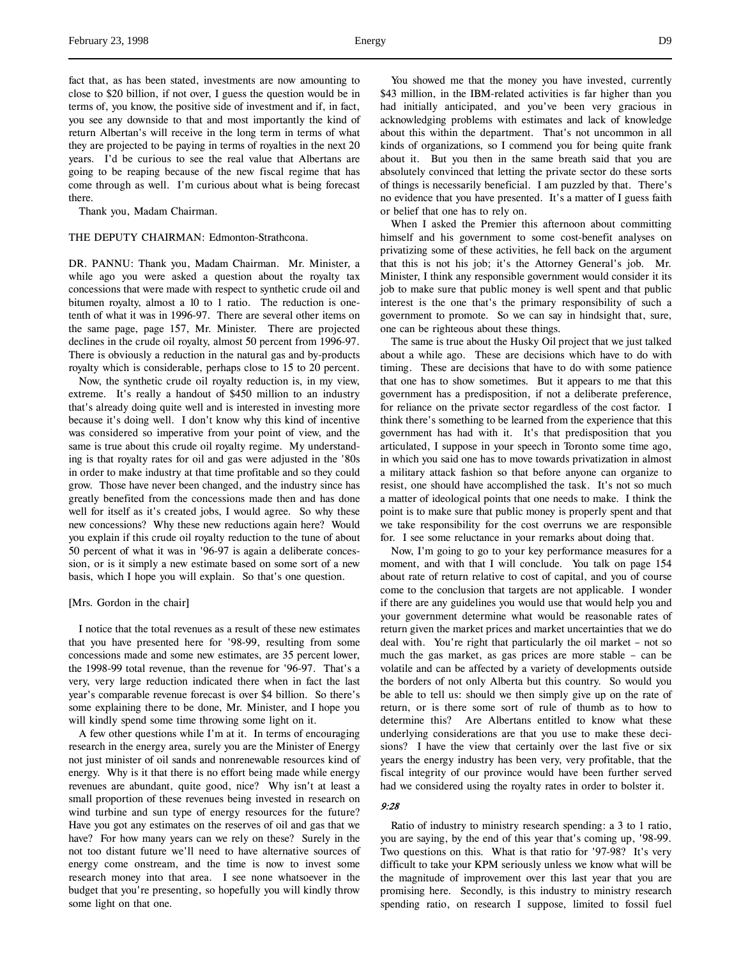fact that, as has been stated, investments are now amounting to close to \$20 billion, if not over, I guess the question would be in terms of, you know, the positive side of investment and if, in fact, you see any downside to that and most importantly the kind of return Albertan's will receive in the long term in terms of what they are projected to be paying in terms of royalties in the next 20 years. I'd be curious to see the real value that Albertans are going to be reaping because of the new fiscal regime that has come through as well. I'm curious about what is being forecast there.

Thank you, Madam Chairman.

# THE DEPUTY CHAIRMAN: Edmonton-Strathcona.

DR. PANNU: Thank you, Madam Chairman. Mr. Minister, a while ago you were asked a question about the royalty tax concessions that were made with respect to synthetic crude oil and bitumen royalty, almost a 10 to 1 ratio. The reduction is onetenth of what it was in 1996-97. There are several other items on the same page, page 157, Mr. Minister. There are projected declines in the crude oil royalty, almost 50 percent from 1996-97. There is obviously a reduction in the natural gas and by-products royalty which is considerable, perhaps close to 15 to 20 percent.

Now, the synthetic crude oil royalty reduction is, in my view, extreme. It's really a handout of \$450 million to an industry that's already doing quite well and is interested in investing more because it's doing well. I don't know why this kind of incentive was considered so imperative from your point of view, and the same is true about this crude oil royalty regime. My understanding is that royalty rates for oil and gas were adjusted in the '80s in order to make industry at that time profitable and so they could grow. Those have never been changed, and the industry since has greatly benefited from the concessions made then and has done well for itself as it's created jobs, I would agree. So why these new concessions? Why these new reductions again here? Would you explain if this crude oil royalty reduction to the tune of about 50 percent of what it was in '96-97 is again a deliberate concession, or is it simply a new estimate based on some sort of a new basis, which I hope you will explain. So that's one question.

#### [Mrs. Gordon in the chair]

I notice that the total revenues as a result of these new estimates that you have presented here for '98-99, resulting from some concessions made and some new estimates, are 35 percent lower, the 1998-99 total revenue, than the revenue for '96-97. That's a very, very large reduction indicated there when in fact the last year's comparable revenue forecast is over \$4 billion. So there's some explaining there to be done, Mr. Minister, and I hope you will kindly spend some time throwing some light on it.

A few other questions while I'm at it. In terms of encouraging research in the energy area, surely you are the Minister of Energy not just minister of oil sands and nonrenewable resources kind of energy. Why is it that there is no effort being made while energy revenues are abundant, quite good, nice? Why isn't at least a small proportion of these revenues being invested in research on wind turbine and sun type of energy resources for the future? Have you got any estimates on the reserves of oil and gas that we have? For how many years can we rely on these? Surely in the not too distant future we'll need to have alternative sources of energy come onstream, and the time is now to invest some research money into that area. I see none whatsoever in the budget that you're presenting, so hopefully you will kindly throw some light on that one.

You showed me that the money you have invested, currently \$43 million, in the IBM-related activities is far higher than you had initially anticipated, and you've been very gracious in acknowledging problems with estimates and lack of knowledge about this within the department. That's not uncommon in all kinds of organizations, so I commend you for being quite frank about it. But you then in the same breath said that you are absolutely convinced that letting the private sector do these sorts of things is necessarily beneficial. I am puzzled by that. There's no evidence that you have presented. It's a matter of I guess faith or belief that one has to rely on.

When I asked the Premier this afternoon about committing himself and his government to some cost-benefit analyses on privatizing some of these activities, he fell back on the argument that this is not his job; it's the Attorney General's job. Mr. Minister, I think any responsible government would consider it its job to make sure that public money is well spent and that public interest is the one that's the primary responsibility of such a government to promote. So we can say in hindsight that, sure, one can be righteous about these things.

The same is true about the Husky Oil project that we just talked about a while ago. These are decisions which have to do with timing. These are decisions that have to do with some patience that one has to show sometimes. But it appears to me that this government has a predisposition, if not a deliberate preference, for reliance on the private sector regardless of the cost factor. I think there's something to be learned from the experience that this government has had with it. It's that predisposition that you articulated, I suppose in your speech in Toronto some time ago, in which you said one has to move towards privatization in almost a military attack fashion so that before anyone can organize to resist, one should have accomplished the task. It's not so much a matter of ideological points that one needs to make. I think the point is to make sure that public money is properly spent and that we take responsibility for the cost overruns we are responsible for. I see some reluctance in your remarks about doing that.

Now, I'm going to go to your key performance measures for a moment, and with that I will conclude. You talk on page 154 about rate of return relative to cost of capital, and you of course come to the conclusion that targets are not applicable. I wonder if there are any guidelines you would use that would help you and your government determine what would be reasonable rates of return given the market prices and market uncertainties that we do deal with. You're right that particularly the oil market – not so much the gas market, as gas prices are more stable – can be volatile and can be affected by a variety of developments outside the borders of not only Alberta but this country. So would you be able to tell us: should we then simply give up on the rate of return, or is there some sort of rule of thumb as to how to determine this? Are Albertans entitled to know what these underlying considerations are that you use to make these decisions? I have the view that certainly over the last five or six years the energy industry has been very, very profitable, that the fiscal integrity of our province would have been further served had we considered using the royalty rates in order to bolster it.

# 9:28

Ratio of industry to ministry research spending: a 3 to 1 ratio, you are saying, by the end of this year that's coming up, '98-99. Two questions on this. What is that ratio for '97-98? It's very difficult to take your KPM seriously unless we know what will be the magnitude of improvement over this last year that you are promising here. Secondly, is this industry to ministry research spending ratio, on research I suppose, limited to fossil fuel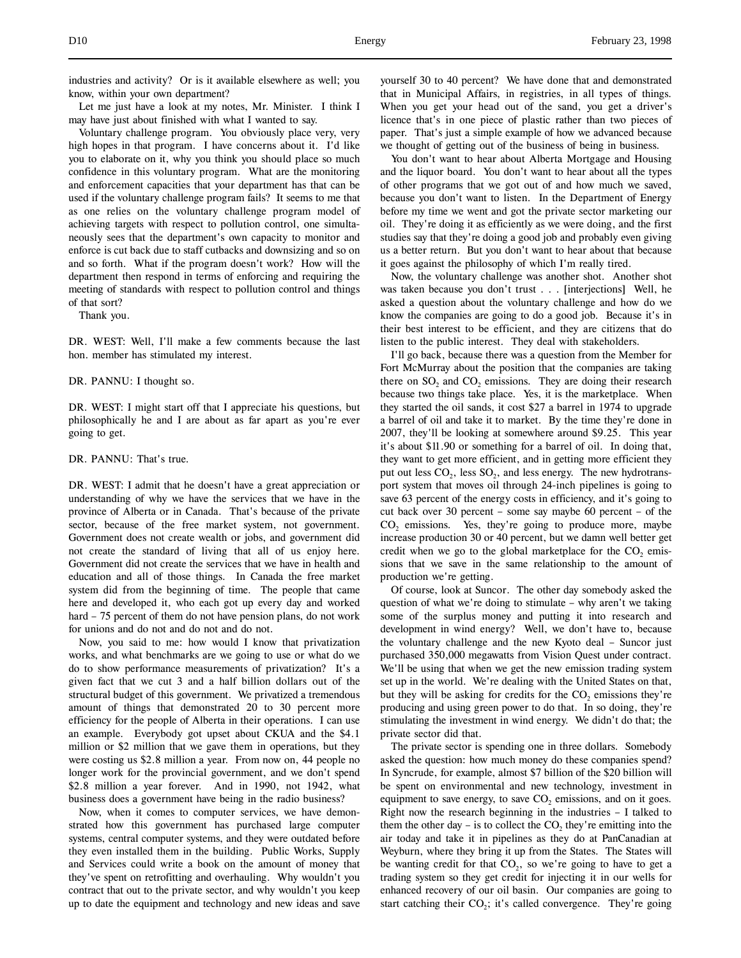industries and activity? Or is it available elsewhere as well; you know, within your own department?

Let me just have a look at my notes, Mr. Minister. I think I may have just about finished with what I wanted to say.

Voluntary challenge program. You obviously place very, very high hopes in that program. I have concerns about it. I'd like you to elaborate on it, why you think you should place so much confidence in this voluntary program. What are the monitoring and enforcement capacities that your department has that can be used if the voluntary challenge program fails? It seems to me that as one relies on the voluntary challenge program model of achieving targets with respect to pollution control, one simultaneously sees that the department's own capacity to monitor and enforce is cut back due to staff cutbacks and downsizing and so on and so forth. What if the program doesn't work? How will the department then respond in terms of enforcing and requiring the meeting of standards with respect to pollution control and things of that sort?

Thank you.

DR. WEST: Well, I'll make a few comments because the last hon. member has stimulated my interest.

DR. PANNU: I thought so.

DR. WEST: I might start off that I appreciate his questions, but philosophically he and I are about as far apart as you're ever going to get.

DR. PANNU: That's true.

DR. WEST: I admit that he doesn't have a great appreciation or understanding of why we have the services that we have in the province of Alberta or in Canada. That's because of the private sector, because of the free market system, not government. Government does not create wealth or jobs, and government did not create the standard of living that all of us enjoy here. Government did not create the services that we have in health and education and all of those things. In Canada the free market system did from the beginning of time. The people that came here and developed it, who each got up every day and worked hard – 75 percent of them do not have pension plans, do not work for unions and do not and do not and do not.

Now, you said to me: how would I know that privatization works, and what benchmarks are we going to use or what do we do to show performance measurements of privatization? It's a given fact that we cut 3 and a half billion dollars out of the structural budget of this government. We privatized a tremendous amount of things that demonstrated 20 to 30 percent more efficiency for the people of Alberta in their operations. I can use an example. Everybody got upset about CKUA and the \$4.1 million or \$2 million that we gave them in operations, but they were costing us \$2.8 million a year. From now on, 44 people no longer work for the provincial government, and we don't spend \$2.8 million a year forever. And in 1990, not 1942, what business does a government have being in the radio business?

Now, when it comes to computer services, we have demonstrated how this government has purchased large computer systems, central computer systems, and they were outdated before they even installed them in the building. Public Works, Supply and Services could write a book on the amount of money that they've spent on retrofitting and overhauling. Why wouldn't you contract that out to the private sector, and why wouldn't you keep up to date the equipment and technology and new ideas and save

yourself 30 to 40 percent? We have done that and demonstrated that in Municipal Affairs, in registries, in all types of things. When you get your head out of the sand, you get a driver's licence that's in one piece of plastic rather than two pieces of paper. That's just a simple example of how we advanced because we thought of getting out of the business of being in business.

You don't want to hear about Alberta Mortgage and Housing and the liquor board. You don't want to hear about all the types of other programs that we got out of and how much we saved, because you don't want to listen. In the Department of Energy before my time we went and got the private sector marketing our oil. They're doing it as efficiently as we were doing, and the first studies say that they're doing a good job and probably even giving us a better return. But you don't want to hear about that because it goes against the philosophy of which I'm really tired.

Now, the voluntary challenge was another shot. Another shot was taken because you don't trust . . . [interjections] Well, he asked a question about the voluntary challenge and how do we know the companies are going to do a good job. Because it's in their best interest to be efficient, and they are citizens that do listen to the public interest. They deal with stakeholders.

I'll go back, because there was a question from the Member for Fort McMurray about the position that the companies are taking there on SO<sub>2</sub> and CO<sub>2</sub> emissions. They are doing their research because two things take place. Yes, it is the marketplace. When they started the oil sands, it cost \$27 a barrel in 1974 to upgrade a barrel of oil and take it to market. By the time they're done in 2007, they'll be looking at somewhere around \$9.25. This year it's about \$11.90 or something for a barrel of oil. In doing that, they want to get more efficient, and in getting more efficient they put out less  $CO<sub>2</sub>$ , less  $SO<sub>2</sub>$ , and less energy. The new hydrotransport system that moves oil through 24-inch pipelines is going to save 63 percent of the energy costs in efficiency, and it's going to cut back over 30 percent – some say maybe 60 percent – of the  $CO<sub>2</sub>$  emissions. Yes, they're going to produce more, maybe increase production 30 or 40 percent, but we damn well better get credit when we go to the global marketplace for the  $CO$ , emissions that we save in the same relationship to the amount of production we're getting.

Of course, look at Suncor. The other day somebody asked the question of what we're doing to stimulate – why aren't we taking some of the surplus money and putting it into research and development in wind energy? Well, we don't have to, because the voluntary challenge and the new Kyoto deal – Suncor just purchased 350,000 megawatts from Vision Quest under contract. We'll be using that when we get the new emission trading system set up in the world. We're dealing with the United States on that, but they will be asking for credits for the  $CO$ , emissions they're producing and using green power to do that. In so doing, they're stimulating the investment in wind energy. We didn't do that; the private sector did that.

The private sector is spending one in three dollars. Somebody asked the question: how much money do these companies spend? In Syncrude, for example, almost \$7 billion of the \$20 billion will be spent on environmental and new technology, investment in equipment to save energy, to save  $CO<sub>2</sub>$  emissions, and on it goes. Right now the research beginning in the industries – I talked to them the other day – is to collect the  $CO_2$  they're emitting into the air today and take it in pipelines as they do at PanCanadian at Weyburn, where they bring it up from the States. The States will be wanting credit for that  $CO<sub>2</sub>$ , so we're going to have to get a trading system so they get credit for injecting it in our wells for enhanced recovery of our oil basin. Our companies are going to start catching their  $CO<sub>2</sub>$ ; it's called convergence. They're going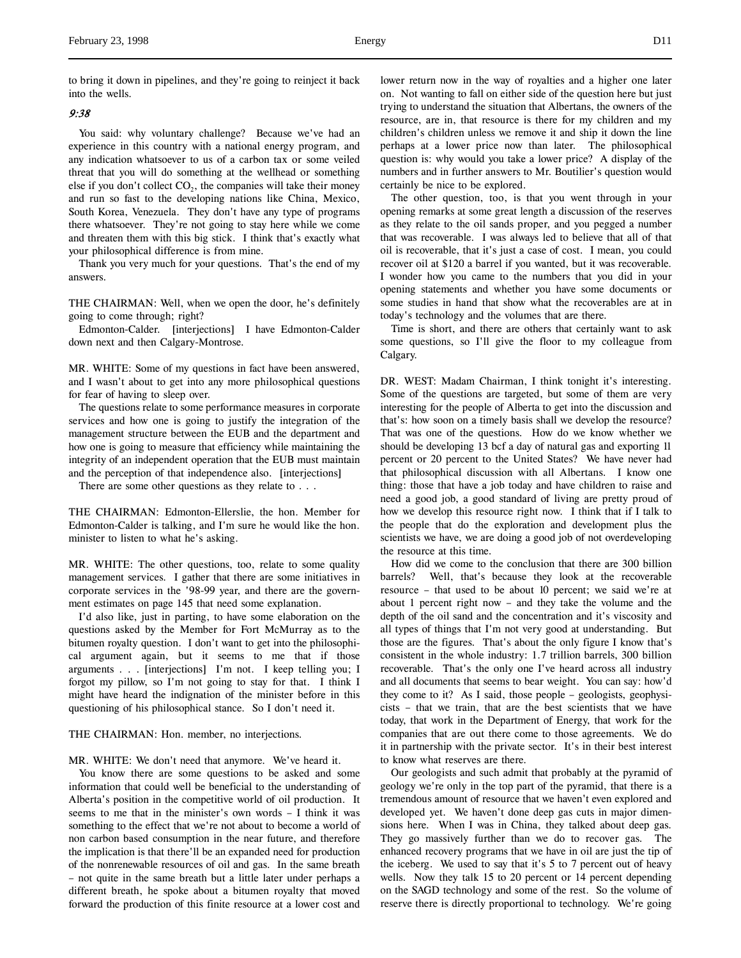# 9:38

You said: why voluntary challenge? Because we've had an experience in this country with a national energy program, and any indication whatsoever to us of a carbon tax or some veiled threat that you will do something at the wellhead or something else if you don't collect  $CO<sub>2</sub>$ , the companies will take their money and run so fast to the developing nations like China, Mexico, South Korea, Venezuela. They don't have any type of programs there whatsoever. They're not going to stay here while we come and threaten them with this big stick. I think that's exactly what your philosophical difference is from mine.

Thank you very much for your questions. That's the end of my answers.

THE CHAIRMAN: Well, when we open the door, he's definitely going to come through; right?

Edmonton-Calder. [interjections] I have Edmonton-Calder down next and then Calgary-Montrose.

MR. WHITE: Some of my questions in fact have been answered, and I wasn't about to get into any more philosophical questions for fear of having to sleep over.

The questions relate to some performance measures in corporate services and how one is going to justify the integration of the management structure between the EUB and the department and how one is going to measure that efficiency while maintaining the integrity of an independent operation that the EUB must maintain and the perception of that independence also. [interjections]

There are some other questions as they relate to . . .

THE CHAIRMAN: Edmonton-Ellerslie, the hon. Member for Edmonton-Calder is talking, and I'm sure he would like the hon. minister to listen to what he's asking.

MR. WHITE: The other questions, too, relate to some quality management services. I gather that there are some initiatives in corporate services in the '98-99 year, and there are the government estimates on page 145 that need some explanation.

I'd also like, just in parting, to have some elaboration on the questions asked by the Member for Fort McMurray as to the bitumen royalty question. I don't want to get into the philosophical argument again, but it seems to me that if those arguments . . . [interjections] I'm not. I keep telling you; I forgot my pillow, so I'm not going to stay for that. I think I might have heard the indignation of the minister before in this questioning of his philosophical stance. So I don't need it.

THE CHAIRMAN: Hon. member, no interjections.

MR. WHITE: We don't need that anymore. We've heard it.

You know there are some questions to be asked and some information that could well be beneficial to the understanding of Alberta's position in the competitive world of oil production. It seems to me that in the minister's own words – I think it was something to the effect that we're not about to become a world of non carbon based consumption in the near future, and therefore the implication is that there'll be an expanded need for production of the nonrenewable resources of oil and gas. In the same breath – not quite in the same breath but a little later under perhaps a different breath, he spoke about a bitumen royalty that moved forward the production of this finite resource at a lower cost and

lower return now in the way of royalties and a higher one later on. Not wanting to fall on either side of the question here but just trying to understand the situation that Albertans, the owners of the resource, are in, that resource is there for my children and my children's children unless we remove it and ship it down the line perhaps at a lower price now than later. The philosophical question is: why would you take a lower price? A display of the numbers and in further answers to Mr. Boutilier's question would certainly be nice to be explored.

The other question, too, is that you went through in your opening remarks at some great length a discussion of the reserves as they relate to the oil sands proper, and you pegged a number that was recoverable. I was always led to believe that all of that oil is recoverable, that it's just a case of cost. I mean, you could recover oil at \$120 a barrel if you wanted, but it was recoverable. I wonder how you came to the numbers that you did in your opening statements and whether you have some documents or some studies in hand that show what the recoverables are at in today's technology and the volumes that are there.

Time is short, and there are others that certainly want to ask some questions, so I'll give the floor to my colleague from Calgary.

DR. WEST: Madam Chairman, I think tonight it's interesting. Some of the questions are targeted, but some of them are very interesting for the people of Alberta to get into the discussion and that's: how soon on a timely basis shall we develop the resource? That was one of the questions. How do we know whether we should be developing 13 bcf a day of natural gas and exporting 11 percent or 20 percent to the United States? We have never had that philosophical discussion with all Albertans. I know one thing: those that have a job today and have children to raise and need a good job, a good standard of living are pretty proud of how we develop this resource right now. I think that if I talk to the people that do the exploration and development plus the scientists we have, we are doing a good job of not overdeveloping the resource at this time.

How did we come to the conclusion that there are 300 billion barrels? Well, that's because they look at the recoverable resource – that used to be about 10 percent; we said we're at about 1 percent right now – and they take the volume and the depth of the oil sand and the concentration and it's viscosity and all types of things that I'm not very good at understanding. But those are the figures. That's about the only figure I know that's consistent in the whole industry: 1.7 trillion barrels, 300 billion recoverable. That's the only one I've heard across all industry and all documents that seems to bear weight. You can say: how'd they come to it? As I said, those people – geologists, geophysicists – that we train, that are the best scientists that we have today, that work in the Department of Energy, that work for the companies that are out there come to those agreements. We do it in partnership with the private sector. It's in their best interest to know what reserves are there.

Our geologists and such admit that probably at the pyramid of geology we're only in the top part of the pyramid, that there is a tremendous amount of resource that we haven't even explored and developed yet. We haven't done deep gas cuts in major dimensions here. When I was in China, they talked about deep gas. They go massively further than we do to recover gas. The enhanced recovery programs that we have in oil are just the tip of the iceberg. We used to say that it's 5 to 7 percent out of heavy wells. Now they talk 15 to 20 percent or 14 percent depending on the SAGD technology and some of the rest. So the volume of reserve there is directly proportional to technology. We're going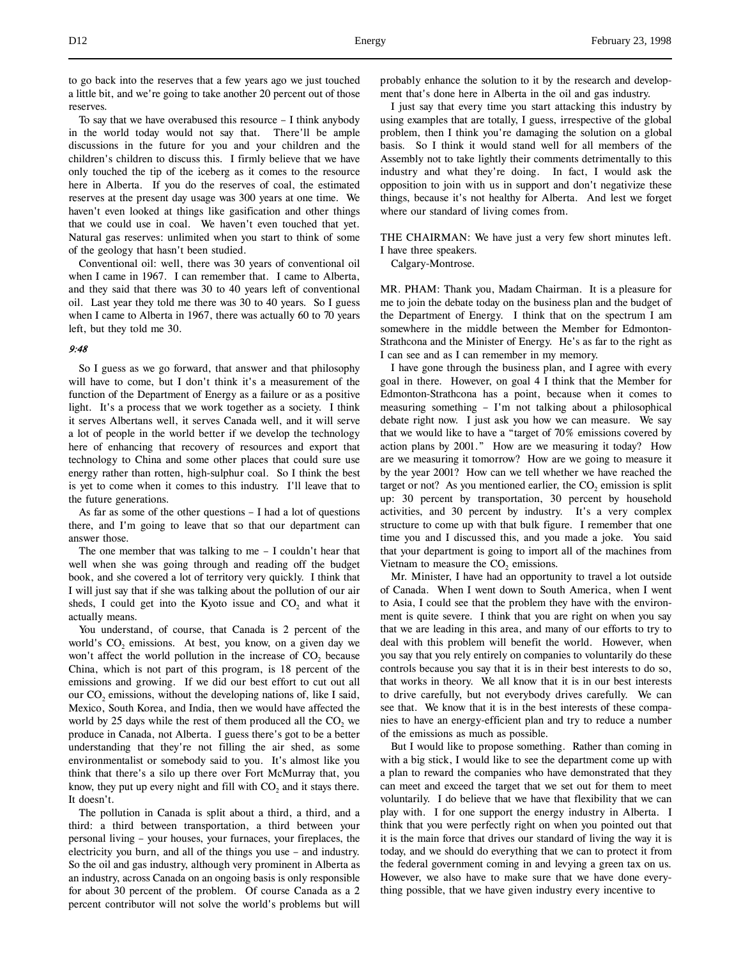To say that we have overabused this resource  $-$  I think anybody in the world today would not say that. There'll be ample discussions in the future for you and your children and the children's children to discuss this. I firmly believe that we have only touched the tip of the iceberg as it comes to the resource here in Alberta. If you do the reserves of coal, the estimated reserves at the present day usage was 300 years at one time. We haven't even looked at things like gasification and other things that we could use in coal. We haven't even touched that yet. Natural gas reserves: unlimited when you start to think of some of the geology that hasn't been studied.

Conventional oil: well, there was 30 years of conventional oil when I came in 1967. I can remember that. I came to Alberta, and they said that there was 30 to 40 years left of conventional oil. Last year they told me there was 30 to 40 years. So I guess when I came to Alberta in 1967, there was actually 60 to 70 years left, but they told me 30.

# 9:48

So I guess as we go forward, that answer and that philosophy will have to come, but I don't think it's a measurement of the function of the Department of Energy as a failure or as a positive light. It's a process that we work together as a society. I think it serves Albertans well, it serves Canada well, and it will serve a lot of people in the world better if we develop the technology here of enhancing that recovery of resources and export that technology to China and some other places that could sure use energy rather than rotten, high-sulphur coal. So I think the best is yet to come when it comes to this industry. I'll leave that to the future generations.

As far as some of the other questions – I had a lot of questions there, and I'm going to leave that so that our department can answer those.

The one member that was talking to me  $-$  I couldn't hear that well when she was going through and reading off the budget book, and she covered a lot of territory very quickly. I think that I will just say that if she was talking about the pollution of our air sheds, I could get into the Kyoto issue and CO<sub>2</sub> and what it actually means.

You understand, of course, that Canada is 2 percent of the world's  $CO<sub>2</sub>$  emissions. At best, you know, on a given day we won't affect the world pollution in the increase of  $CO<sub>2</sub>$  because China, which is not part of this program, is 18 percent of the emissions and growing. If we did our best effort to cut out all our CO<sub>2</sub> emissions, without the developing nations of, like I said, Mexico, South Korea, and India, then we would have affected the world by  $25$  days while the rest of them produced all the  $CO<sub>2</sub>$  we produce in Canada, not Alberta. I guess there's got to be a better understanding that they're not filling the air shed, as some environmentalist or somebody said to you. It's almost like you think that there's a silo up there over Fort McMurray that, you know, they put up every night and fill with  $CO<sub>2</sub>$  and it stays there. It doesn't.

The pollution in Canada is split about a third, a third, and a third: a third between transportation, a third between your personal living – your houses, your furnaces, your fireplaces, the electricity you burn, and all of the things you use – and industry. So the oil and gas industry, although very prominent in Alberta as an industry, across Canada on an ongoing basis is only responsible for about 30 percent of the problem. Of course Canada as a 2 percent contributor will not solve the world's problems but will

I just say that every time you start attacking this industry by using examples that are totally, I guess, irrespective of the global problem, then I think you're damaging the solution on a global basis. So I think it would stand well for all members of the Assembly not to take lightly their comments detrimentally to this industry and what they're doing. In fact, I would ask the opposition to join with us in support and don't negativize these things, because it's not healthy for Alberta. And lest we forget where our standard of living comes from.

THE CHAIRMAN: We have just a very few short minutes left. I have three speakers.

Calgary-Montrose.

MR. PHAM: Thank you, Madam Chairman. It is a pleasure for me to join the debate today on the business plan and the budget of the Department of Energy. I think that on the spectrum I am somewhere in the middle between the Member for Edmonton-Strathcona and the Minister of Energy. He's as far to the right as I can see and as I can remember in my memory.

I have gone through the business plan, and I agree with every goal in there. However, on goal 4 I think that the Member for Edmonton-Strathcona has a point, because when it comes to measuring something – I'm not talking about a philosophical debate right now. I just ask you how we can measure. We say that we would like to have a "target of 70% emissions covered by action plans by 2001." How are we measuring it today? How are we measuring it tomorrow? How are we going to measure it by the year 2001? How can we tell whether we have reached the target or not? As you mentioned earlier, the  $CO<sub>2</sub>$  emission is split up: 30 percent by transportation, 30 percent by household activities, and 30 percent by industry. It's a very complex structure to come up with that bulk figure. I remember that one time you and I discussed this, and you made a joke. You said that your department is going to import all of the machines from Vietnam to measure the  $CO<sub>2</sub>$  emissions.

Mr. Minister, I have had an opportunity to travel a lot outside of Canada. When I went down to South America, when I went to Asia, I could see that the problem they have with the environment is quite severe. I think that you are right on when you say that we are leading in this area, and many of our efforts to try to deal with this problem will benefit the world. However, when you say that you rely entirely on companies to voluntarily do these controls because you say that it is in their best interests to do so, that works in theory. We all know that it is in our best interests to drive carefully, but not everybody drives carefully. We can see that. We know that it is in the best interests of these companies to have an energy-efficient plan and try to reduce a number of the emissions as much as possible.

But I would like to propose something. Rather than coming in with a big stick, I would like to see the department come up with a plan to reward the companies who have demonstrated that they can meet and exceed the target that we set out for them to meet voluntarily. I do believe that we have that flexibility that we can play with. I for one support the energy industry in Alberta. I think that you were perfectly right on when you pointed out that it is the main force that drives our standard of living the way it is today, and we should do everything that we can to protect it from the federal government coming in and levying a green tax on us. However, we also have to make sure that we have done everything possible, that we have given industry every incentive to